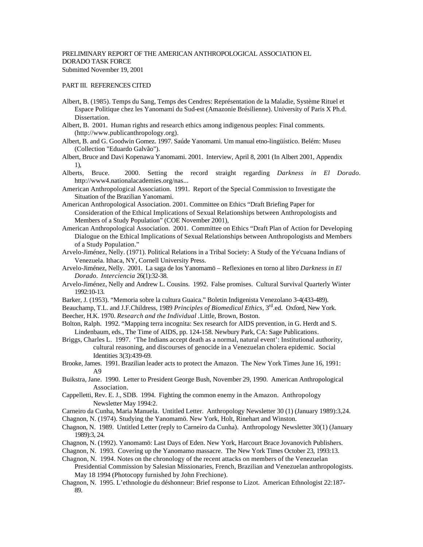## PART III. REFERENCES CITED

- Albert, B. (1985). Temps du Sang, Temps des Cendres: Représentation de la Maladie, Système Rituel et Espace Politique chez les Yanomami du Sud-est (Amazonie Brésilienne). University of Paris X Ph.d. Dissertation.
- Albert, B. 2001. Human rights and research ethics among indigenous peoples: Final comments. (http://www.publicanthropology.org).
- Albert, B. and G. Goodwin Gomez. 1997. Saúde Yanomami. Um manual etno-lingüístico. Belém: Museu (Collection "Eduardo Galvão").
- Albert, Bruce and Davi Kopenawa Yanomami. 2001. Interview, April 8, 2001 (In Albert 2001, Appendix 1),
- Alberts, Bruce. 2000. Setting the record straight regarding *Darkness in El Dorado*. http://www4.nationalacademies.org/nas...
- American Anthropological Association. 1991. Report of the Special Commission to Investigate the Situation of the Brazilian Yanomami.
- American Anthropological Association. 2001. Committee on Ethics "Draft Briefing Paper for Consideration of the Ethical Implications of Sexual Relationships between Anthropologists and Members of a Study Population" (COE November 2001),
- American Anthropological Association. 2001. Committee on Ethics "Draft Plan of Action for Developing Dialogue on the Ethical Implications of Sexual Relationships between Anthropologists and Members of a Study Population."
- Arvelo-Jiménez, Nelly. (1971). Political Relations in a Tribal Society: A Study of the Ye'cuana Indians of Venezuela. Ithaca, NY, Cornell University Press.
- Arvelo-Jiménez, Nelly. 2001. La saga de los Yanomamö Reflexiones en torno al libro *Darkness in El Dorado*. *Interciencia* 26(1):32-38.
- Arvelo-Jiménez, Nelly and Andrew L. Cousins. 1992. False promises. Cultural Survival Quarterly Winter 1992:10-13.
- Barker, J. (1953). "Memoria sobre la cultura Guaica." Boletin Indigenista Venezolano 3-4(433-489).
- Beauchamp, T.L. and J.F.Childress, 1989 *Principles of Biomedical Ethics*, 3<sup>rd</sup>.ed. Oxford, New York.
- Beecher, H.K. 1970. *Research and the Individual .*Little, Brown, Boston.
- Bolton, Ralph. 1992. "Mapping terra incognita: Sex research for AIDS prevention, in G. Herdt and S. Lindenbaum, eds., The Time of AIDS, pp. 124-158. Newbury Park, CA: Sage Publications.
- Briggs, Charles L. 1997. 'The Indians accept death as a normal, natural event': Institutional authority, cultural reasoning, and discourses of genocide in a Venezuelan cholera epidemic. Social Identities 3(3):439-69.
- Brooke, James. 1991. Brazilian leader acts to protect the Amazon. The New York Times June 16, 1991: A9
- Buikstra, Jane. 1990. Letter to President George Bush, November 29, 1990. American Anthropological Association.
- Cappelletti, Rev. E. J., SDB. 1994. Fighting the common enemy in the Amazon. Anthropology Newsletter May 1994:2.

Carneiro da Cunha, Maria Manuela. Untitled Letter. Anthropology Newsletter 30 (1) (January 1989):3,24.

Chagnon, N. (1974). Studying the Yanomamö. New York, Holt, Rinehart and Winston.

- Chagnon, N. 1989. Untitled Letter (reply to Carneiro da Cunha). Anthropology Newsletter 30(1) (January 1989):3, 24.
- Chagnon, N. (1992). Yanomamö: Last Days of Eden. New York, Harcourt Brace Jovanovich Publishers.
- Chagnon, N. 1993. Covering up the Yanomamo massacre. The New York Times October 23, 1993:13.
- Chagnon, N. 1994. Notes on the chronology of the recent attacks on members of the Venezuelan Presidential Commission by Salesian Missionaries, French, Brazilian and Venezuelan anthropologists. May 18 1994 (Photocopy furnished by John Frechione).
- Chagnon, N. 1995. L'ethnologie du déshonneur: Brief response to Lizot. American Ethnologist 22:187- 89.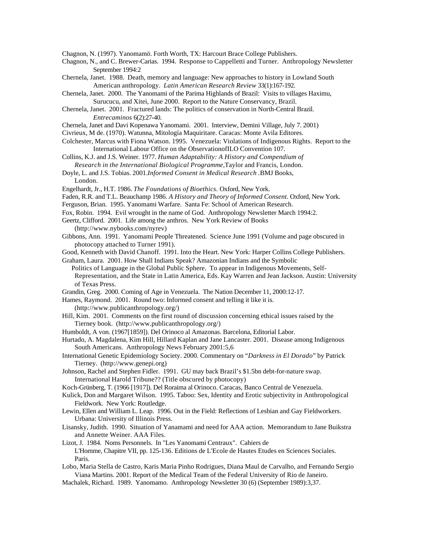Chagnon, N. (1997). Yanomamö. Forth Worth, TX: Harcourt Brace College Publishers.

Chagnon, N., and C. Brewer-Carias. 1994. Response to Cappelletti and Turner. Anthropology Newsletter September 1994:2

Chernela, Janet. 1988. Death, memory and language: New approaches to history in Lowland South American anthropology. *Latin American Research Review* 33(1):167-192.

Chernela, Janet. 2000. The Yanomami of the Parima Highlands of Brazil: Visits to villages Haximu, Surucucu, and Xitei, June 2000. Report to the Nature Conservancy, Brazil.

- Chernela, Janet. 2001. Fractured lands: The politics of conservation in North-Central Brazil. *Entrecaminos* 6(2):27-40.
- Chernela, Janet and Davi Kopenawa Yanomami. 2001. Interview, Demini Village, July 7. 2001)

Civrieux, M de. (1970). Watunna, Mitología Maquiritare. Caracas: Monte Avila Editores.

- Colchester, Marcus with Fiona Watson. 1995. Venezuela: Violations of Indigenous Rights. Report to the International Labour Office on the ObservationofILO Convention 107.
- Collins, K.J. and J.S. Weiner. 1977. *Human Adaptability: A History and Compendium of Research in the International Biological Programme,*Taylor and Francis, London.
- Doyle, L. and J.S. Tobias. 2001.*Informed Consent in Medical Research .*BMJ Books, London.
- Engelhardt, Jr., H.T. 1986. *The Foundations of Bioethics.* Oxford, New York.
- Faden, R.R. and T.L. Beauchamp 1986. *A History and Theory of Informed Consent.* Oxford, New York.
- Ferguson, Brian. 1995. Yanomami Warfare. Santa Fe: School of American Research.
- Fox, Robin. 1994. Evil wrought in the name of God. Anthropology Newsletter March 1994:2.
- Geertz, Clifford. 2001. Life among the anthros. New York Review of Books

(http://www.nybooks.com/nyrev)

- Gibbons, Ann. 1991. Yanomami People Threatened. Science June 1991 (Volume and page obscured in photocopy attached to Turner 1991).
- Good, Kenneth with David Chanoff. 1991. Into the Heart. New York: Harper Collins College Publishers.

Graham, Laura. 2001. How Shall Indians Speak? Amazonian Indians and the Symbolic

 Politics of Language in the Global Public Sphere. To appear in Indigenous Movements, Self-Representation, and the State in Latin America, Eds. Kay Warren and Jean Jackson. Austin: University of Texas Press.

- Grandin, Greg. 2000. Coming of Age in Venezuela. The Nation December 11, 2000:12-17.
- Hames, Raymond. 2001. Round two: Informed consent and telling it like it is.

(http://www.publicanthropology.org/)

- Hill, Kim. 2001. Comments on the first round of discussion concerning ethical issues raised by the Tierney book. (http://www.publicanthropology.org/)
- Humboldt, A von. (1967[1859]). Del Orinoco al Amazonas. Barcelona, Editorial Labor.
- Hurtado, A. Magdalena, Kim Hill, Hillard Kaplan and Jane Lancaster. 2001. Disease among Indigenous South Americans. Anthropology News February 2001:5,6
- International Genetic Epidemiology Society. 2000. Commentary on "*Darkness in El Dorado*" by Patrick Tierney. (http://www.genepi.org)
- Johnson, Rachel and Stephen Fidler. 1991. GU may back Brazil's \$1.5bn debt-for-nature swap. International Harold Tribune?? (Title obscured by photocopy)
- Koch-Grünberg, T. (1966 [1917]). Del Roraima al Orinoco. Caracas, Banco Central de Venezuela.

Kulick, Don and Margaret Wilson. 1995. Taboo: Sex, Identity and Erotic subjectivity in Anthropological Fieldwork. New York: Routledge.

- Lewin, Ellen and William L. Leap. 1996. Out in the Field: Reflections of Lesbian and Gay Fieldworkers. Urbana: University of Illinois Press.
- Lisansky, Judith. 1990. Situation of Yanamami and need for AAA action. Memorandum to Jane Buikstra and Annette Weiner. AAA Files.

Lizot, J. 1984. Noms Personnels. In "Les Yanomami Centraux". Cahiers de L'Homme, Chapitre VII, pp. 125-136. Editions de L'Ecole de Hautes Etudes en Sciences Sociales. Paris.

- Lobo, Maria Stella de Castro, Karis Maria Pinho Rodrigues, Diana Maul de Carvalho, and Fernando Sergio Viana Martins. 2001. Report of the Medical Team of the Federal University of Rio de Janeiro.
- Machalek, Richard. 1989. Yanomamo. Anthropology Newsletter 30 (6) (September 1989):3,37.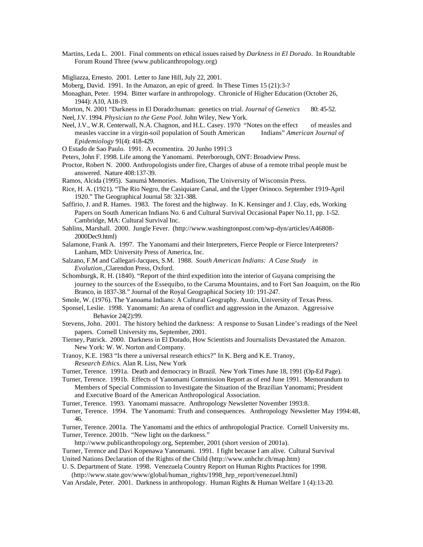- Martins, Leda L. 2001. Final comments on ethical issues raised by *Darkness in El Dorado*. In Roundtable Forum Round Three (www.publicanthropology.org)
- Migliazza, Ernesto. 2001. Letter to Jane Hill, July 22, 2001.
- Moberg, David. 1991. In the Amazon, an epic of greed. In These Times 15 (21):3-?
- Monaghan, Peter. 1994. Bitter warfare in anthropology. Chronicle of Higher Education (October 26, 1944): A10, A18-19.
- Morton, N. 2001 "Darkness in El Dorado:human: genetics on trial. *Journal of Genetics* 80: 45-52.
- Neel, J.V. 1994. *Physician to the Gene Pool.* John Wiley, New York.
- Neel, J.V., W.R. Centerwall, N.A. Chagnon, and H.L. Casey. 1970 "Notes on the effect of measles and measles vaccine in a virgin-soil population of South American Indians" *American Journal of Epidemiology* 91(4): 418-429.
- O Estado de Sao Paulo. 1991. A ecomentira. 20 Junho 1991:3
- Peters, John F. 1998. Life among the Yanomami. Peterborough, ONT: Broadview Press.
- Proctor, Robert N. 2000. Anthropologists under fire, Charges of abuse of a remote tribal people must be answered. Nature 408:137-39.
- Ramos, Alcida (1995). Sanumá Memories. Madison, The University of Wisconsin Press.
- Rice, H. A. (1921). "The Rio Negro, the Casiquiare Canal, and the Upper Orinoco. September 1919-April 1920." The Geographical Journal 58: 321-388.
- Saffirio, J. and R. Hames. 1983. The forest and the highway. In K. Kensinger and J. Clay, eds, Working Papers on South American Indians No. 6 and Cultural Survival Occasional Paper No.11, pp. 1-52. Cambridge, MA: Cultural Survival Inc.
- Sahlins, Marshall. 2000. Jungle Fever. (http://www.washingtonpost.com/wp-dyn/articles/A46808- 2000Dec9.html)
- Salamone, Frank A. 1997. The Yanomami and their Interpreters, Fierce People or Fierce Interpreters? Lanham, MD: University Press of America, Inc.
- Salzano, F.M and Callegari-Jacques, S.M. 1988. *South American Indians: A Case Study in Evolution,,*Clarendon Press, Oxford.
- Schomburgk, R. H. (1840). "Report of the third expedition into the interior of Guyana comprising the journey to the sources of the Essequibo, to the Caruma Mountains, and to Fort San Joaquim, on the Rio Branco, in 1837-38." Journal of the Royal Geographical Society 10: 191-247.
- Smole, W. (1976). The Yanoama Indians: A Cultural Geography. Austin, University of Texas Press.
- Sponsel, Leslie. 1998. Yanomami: An arena of conflict and aggression in the Amazon. Aggressive Behavior 24(2):99.
- Stevens, John. 2001. The history behind the darkness: A response to Susan Lindee's readings of the Neel papers. Cornell University ms, September, 2001.
- Tierney, Patrick. 2000. Darkness in El Dorado, How Scientists and Journalists Devastated the Amazon. New York: W. W. Norton and Company.
- Tranoy, K.E. 1983 "Is there a universal research ethics?" In K. Berg and K.E. Tranoy, *Research Ethics.* Alan R. Liss, New York
- Turner, Terence. 1991a. Death and democracy in Brazil. New York Times June 18, 1991 (Op-Ed Page).
- Turner, Terence. 1991b. Effects of Yanomami Commission Report as of end June 1991. Memorandum to Members of Special Commission to Investigate the Situation of the Brazilian Yanomami; President and Executive Board of the American Anthropological Association.
- Turner, Terence. 1993. Yanomami massacre. Anthropology Newsletter November 1993:8.
- Turner, Terence. 1994. The Yanomami: Truth and consequences. Anthropology Newsletter May 1994:48, 46.
- Turner, Terence. 2001a. The Yanomami and the ethics of anthropologial Practice. Cornell University ms. Turner, Terence. 2001b. "New light on the darkness."
	- http://www.publicanthropology.org, September, 2001 (short version of 2001a).
- Turner, Terence and Davi Kopenawa Yanomami. 1991. I fight because I am alive. Cultural Survival United Nations Declaration of the Rights of the Child (http://www.unhchr.ch/map.htm)
- U. S. Department of State. 1998. Venezuela Country Report on Human Rights Practices for 1998.
- (http://www.state.gov/www/global/human\_rights/1998\_hrp\_report/venezuel.html)
- Van Arsdale, Peter. 2001. Darkness in anthropology. Human Rights & Human Welfare 1 (4):13-20.